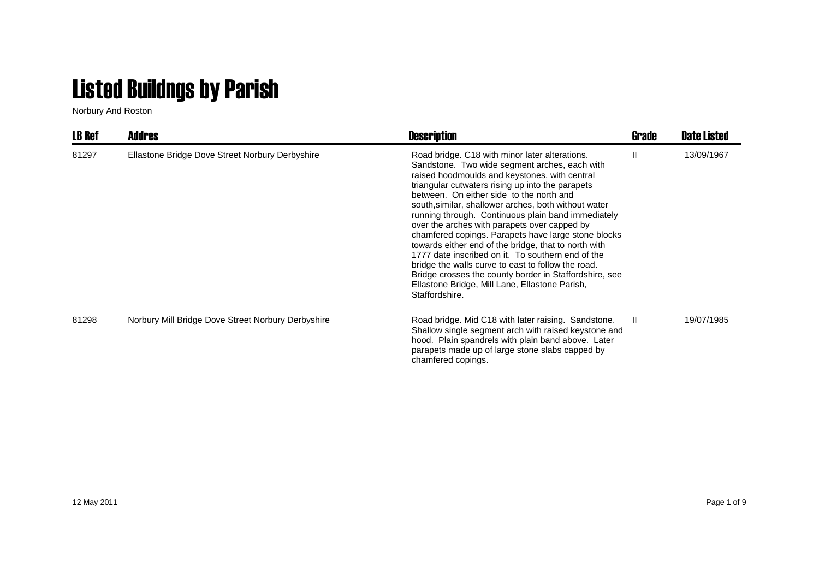## Listed Buildngs by Parish

Norbury And Roston

| <b>LB Ref</b> | <b>Addres</b>                                      | <b>Description</b>                                                                                                                                                                                                                                                                                                                                                                                                                                                                                                                                                                                                                                                                                                                                                     | Grade | <b>Date Listed</b> |
|---------------|----------------------------------------------------|------------------------------------------------------------------------------------------------------------------------------------------------------------------------------------------------------------------------------------------------------------------------------------------------------------------------------------------------------------------------------------------------------------------------------------------------------------------------------------------------------------------------------------------------------------------------------------------------------------------------------------------------------------------------------------------------------------------------------------------------------------------------|-------|--------------------|
| 81297         | Ellastone Bridge Dove Street Norbury Derbyshire    | Road bridge. C18 with minor later alterations.<br>Sandstone. Two wide segment arches, each with<br>raised hoodmoulds and keystones, with central<br>triangular cutwaters rising up into the parapets<br>between. On either side to the north and<br>south, similar, shallower arches, both without water<br>running through. Continuous plain band immediately<br>over the arches with parapets over capped by<br>chamfered copings. Parapets have large stone blocks<br>towards either end of the bridge, that to north with<br>1777 date inscribed on it. To southern end of the<br>bridge the walls curve to east to follow the road.<br>Bridge crosses the county border in Staffordshire, see<br>Ellastone Bridge, Mill Lane, Ellastone Parish,<br>Staffordshire. | Ш     | 13/09/1967         |
| 81298         | Norbury Mill Bridge Dove Street Norbury Derbyshire | Road bridge. Mid C18 with later raising. Sandstone.<br>Shallow single segment arch with raised keystone and<br>hood. Plain spandrels with plain band above. Later<br>parapets made up of large stone slabs capped by<br>chamfered copings.                                                                                                                                                                                                                                                                                                                                                                                                                                                                                                                             | Ш.    | 19/07/1985         |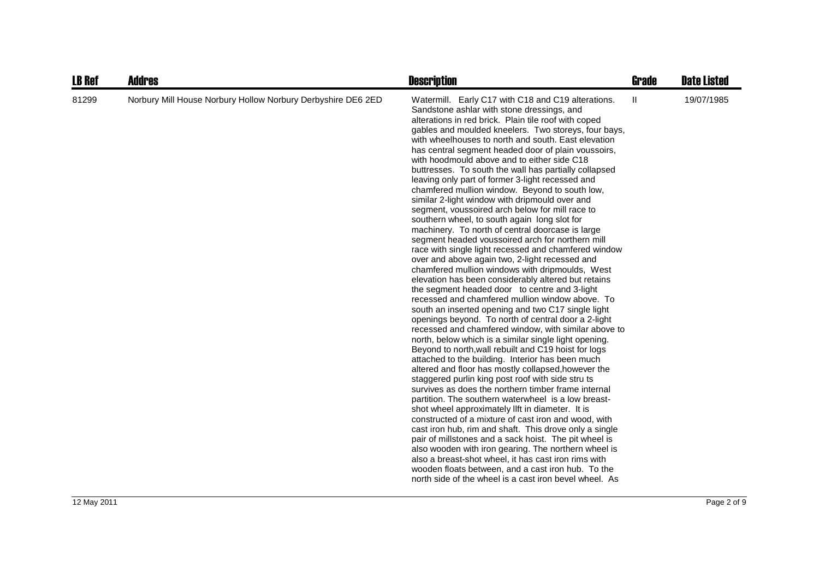| <b>LB Ref</b> | <b>Addres</b>                                                | <b>Description</b>                                                                                                                                                                                                                                                                                                                                                                                                                                                                                                                                                                                                                                                                                                                                                                                                                                                                                                                                                                                                                                                                                                                                                                                                                                                                                                                                                                                                                                                                                                                                                                                                                                                                                                                                                                                                                                                                                                                                                                                                                                                                                                                                                   | <b>Grade</b> | <b>Date Listed</b> |
|---------------|--------------------------------------------------------------|----------------------------------------------------------------------------------------------------------------------------------------------------------------------------------------------------------------------------------------------------------------------------------------------------------------------------------------------------------------------------------------------------------------------------------------------------------------------------------------------------------------------------------------------------------------------------------------------------------------------------------------------------------------------------------------------------------------------------------------------------------------------------------------------------------------------------------------------------------------------------------------------------------------------------------------------------------------------------------------------------------------------------------------------------------------------------------------------------------------------------------------------------------------------------------------------------------------------------------------------------------------------------------------------------------------------------------------------------------------------------------------------------------------------------------------------------------------------------------------------------------------------------------------------------------------------------------------------------------------------------------------------------------------------------------------------------------------------------------------------------------------------------------------------------------------------------------------------------------------------------------------------------------------------------------------------------------------------------------------------------------------------------------------------------------------------------------------------------------------------------------------------------------------------|--------------|--------------------|
| 81299         | Norbury Mill House Norbury Hollow Norbury Derbyshire DE6 2ED | Watermill. Early C17 with C18 and C19 alterations.<br>Sandstone ashlar with stone dressings, and<br>alterations in red brick. Plain tile roof with coped<br>gables and moulded kneelers. Two storeys, four bays,<br>with wheelhouses to north and south. East elevation<br>has central segment headed door of plain voussoirs,<br>with hoodmould above and to either side C18<br>buttresses. To south the wall has partially collapsed<br>leaving only part of former 3-light recessed and<br>chamfered mullion window. Beyond to south low,<br>similar 2-light window with dripmould over and<br>segment, voussoired arch below for mill race to<br>southern wheel, to south again long slot for<br>machinery. To north of central doorcase is large<br>segment headed voussoired arch for northern mill<br>race with single light recessed and chamfered window<br>over and above again two, 2-light recessed and<br>chamfered mullion windows with dripmoulds, West<br>elevation has been considerably altered but retains<br>the segment headed door to centre and 3-light<br>recessed and chamfered mullion window above. To<br>south an inserted opening and two C17 single light<br>openings beyond. To north of central door a 2-light<br>recessed and chamfered window, with similar above to<br>north, below which is a similar single light opening.<br>Beyond to north, wall rebuilt and C19 hoist for logs<br>attached to the building. Interior has been much<br>altered and floor has mostly collapsed, however the<br>staggered purlin king post roof with side stru ts<br>survives as does the northern timber frame internal<br>partition. The southern waterwheel is a low breast-<br>shot wheel approximately llft in diameter. It is<br>constructed of a mixture of cast iron and wood, with<br>cast iron hub, rim and shaft. This drove only a single<br>pair of millstones and a sack hoist. The pit wheel is<br>also wooden with iron gearing. The northern wheel is<br>also a breast-shot wheel, it has cast iron rims with<br>wooden floats between, and a cast iron hub. To the<br>north side of the wheel is a cast iron bevel wheel. As | Ш            | 19/07/1985         |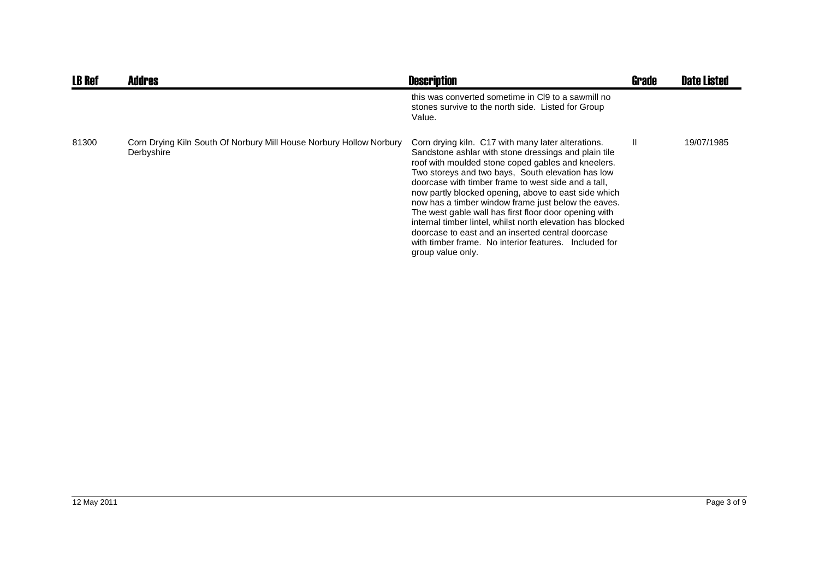| <b>LB Ref</b> | <b>Addres</b>                                                                     | <b>Description</b>                                                                                                                                                                                                                                                                                                                                                                                                                                                                                                                                                                                                                                    | <b>Grade</b> | <b>Date Listed</b> |
|---------------|-----------------------------------------------------------------------------------|-------------------------------------------------------------------------------------------------------------------------------------------------------------------------------------------------------------------------------------------------------------------------------------------------------------------------------------------------------------------------------------------------------------------------------------------------------------------------------------------------------------------------------------------------------------------------------------------------------------------------------------------------------|--------------|--------------------|
|               |                                                                                   | this was converted sometime in CI9 to a sawmill no<br>stones survive to the north side. Listed for Group<br>Value.                                                                                                                                                                                                                                                                                                                                                                                                                                                                                                                                    |              |                    |
| 81300         | Corn Drying Kiln South Of Norbury Mill House Norbury Hollow Norbury<br>Derbyshire | Corn drying kiln. C17 with many later alterations.<br>Sandstone ashlar with stone dressings and plain tile<br>roof with moulded stone coped gables and kneelers.<br>Two storeys and two bays, South elevation has low<br>doorcase with timber frame to west side and a tall.<br>now partly blocked opening, above to east side which<br>now has a timber window frame just below the eaves.<br>The west gable wall has first floor door opening with<br>internal timber lintel, whilst north elevation has blocked<br>doorcase to east and an inserted central doorcase<br>with timber frame. No interior features. Included for<br>group value only. | H.           | 19/07/1985         |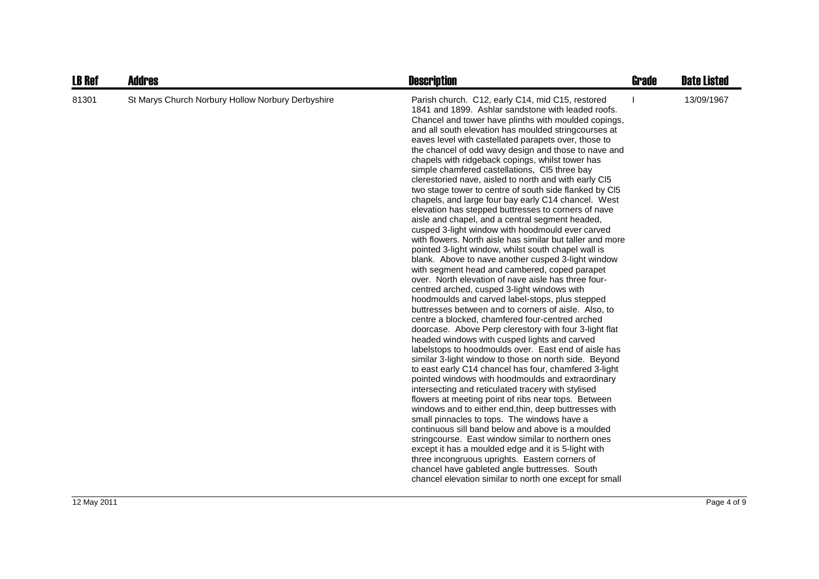| <b>LB Ref</b> | <b>Addres</b>                                     | <b>Description</b>                                                                                                                                                                                                                                                                                                                                                                                                                                                                                                                                                                                                                                                                                                                                                                                                                                                                                                                                                                                                                                                                                                                                                                                                                                                                                                                                                                                                                                                                                                                                                                                                                                                                                                                                                                                                                                                                                                                                                                                                                                                                                                                                                                | <b>Grade</b> | <b>Date Listed</b> |
|---------------|---------------------------------------------------|-----------------------------------------------------------------------------------------------------------------------------------------------------------------------------------------------------------------------------------------------------------------------------------------------------------------------------------------------------------------------------------------------------------------------------------------------------------------------------------------------------------------------------------------------------------------------------------------------------------------------------------------------------------------------------------------------------------------------------------------------------------------------------------------------------------------------------------------------------------------------------------------------------------------------------------------------------------------------------------------------------------------------------------------------------------------------------------------------------------------------------------------------------------------------------------------------------------------------------------------------------------------------------------------------------------------------------------------------------------------------------------------------------------------------------------------------------------------------------------------------------------------------------------------------------------------------------------------------------------------------------------------------------------------------------------------------------------------------------------------------------------------------------------------------------------------------------------------------------------------------------------------------------------------------------------------------------------------------------------------------------------------------------------------------------------------------------------------------------------------------------------------------------------------------------------|--------------|--------------------|
| 81301         | St Marys Church Norbury Hollow Norbury Derbyshire | Parish church. C12, early C14, mid C15, restored<br>1841 and 1899. Ashlar sandstone with leaded roofs.<br>Chancel and tower have plinths with moulded copings,<br>and all south elevation has moulded string courses at<br>eaves level with castellated parapets over, those to<br>the chancel of odd wavy design and those to nave and<br>chapels with ridgeback copings, whilst tower has<br>simple chamfered castellations, CI5 three bay<br>clerestoried nave, aisled to north and with early CI5<br>two stage tower to centre of south side flanked by CI5<br>chapels, and large four bay early C14 chancel. West<br>elevation has stepped buttresses to corners of nave<br>aisle and chapel, and a central segment headed,<br>cusped 3-light window with hoodmould ever carved<br>with flowers. North aisle has similar but taller and more<br>pointed 3-light window, whilst south chapel wall is<br>blank. Above to nave another cusped 3-light window<br>with segment head and cambered, coped parapet<br>over. North elevation of nave aisle has three four-<br>centred arched, cusped 3-light windows with<br>hoodmoulds and carved label-stops, plus stepped<br>buttresses between and to corners of aisle. Also, to<br>centre a blocked, chamfered four-centred arched<br>doorcase. Above Perp clerestory with four 3-light flat<br>headed windows with cusped lights and carved<br>labelstops to hoodmoulds over. East end of aisle has<br>similar 3-light window to those on north side. Beyond<br>to east early C14 chancel has four, chamfered 3-light<br>pointed windows with hoodmoulds and extraordinary<br>intersecting and reticulated tracery with stylised<br>flowers at meeting point of ribs near tops. Between<br>windows and to either end, thin, deep buttresses with<br>small pinnacles to tops. The windows have a<br>continuous sill band below and above is a moulded<br>stringcourse. East window similar to northern ones<br>except it has a moulded edge and it is 5-light with<br>three incongruous uprights. Eastern corners of<br>chancel have gableted angle buttresses. South<br>chancel elevation similar to north one except for small |              | 13/09/1967         |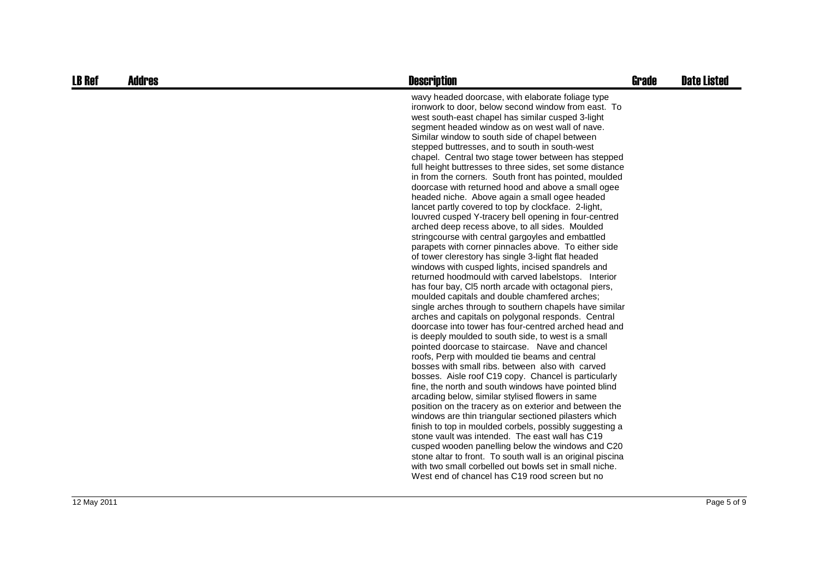| <b>LB Ref</b> | <b>Addres</b> | <b>Description</b>                                                                                                                                                                                                                                                                                                                                                                                                                                                                                                                                                                                                                                                                                                                                                                                                                                                                                                                                                                                                                                                                                                                                                                                                                                                                                                                                                                                                                                                                                                                                                                                                                                                                                                                                                                                                                                                                                                                                                                                                                                                                                                                                                                            | <b>Grade</b> | <b>Date Listed</b> |
|---------------|---------------|-----------------------------------------------------------------------------------------------------------------------------------------------------------------------------------------------------------------------------------------------------------------------------------------------------------------------------------------------------------------------------------------------------------------------------------------------------------------------------------------------------------------------------------------------------------------------------------------------------------------------------------------------------------------------------------------------------------------------------------------------------------------------------------------------------------------------------------------------------------------------------------------------------------------------------------------------------------------------------------------------------------------------------------------------------------------------------------------------------------------------------------------------------------------------------------------------------------------------------------------------------------------------------------------------------------------------------------------------------------------------------------------------------------------------------------------------------------------------------------------------------------------------------------------------------------------------------------------------------------------------------------------------------------------------------------------------------------------------------------------------------------------------------------------------------------------------------------------------------------------------------------------------------------------------------------------------------------------------------------------------------------------------------------------------------------------------------------------------------------------------------------------------------------------------------------------------|--------------|--------------------|
|               |               | wavy headed doorcase, with elaborate foliage type<br>ironwork to door, below second window from east. To<br>west south-east chapel has similar cusped 3-light<br>segment headed window as on west wall of nave.<br>Similar window to south side of chapel between<br>stepped buttresses, and to south in south-west<br>chapel. Central two stage tower between has stepped<br>full height buttresses to three sides, set some distance<br>in from the corners. South front has pointed, moulded<br>doorcase with returned hood and above a small ogee<br>headed niche. Above again a small ogee headed<br>lancet partly covered to top by clockface. 2-light,<br>louvred cusped Y-tracery bell opening in four-centred<br>arched deep recess above, to all sides. Moulded<br>stringcourse with central gargoyles and embattled<br>parapets with corner pinnacles above. To either side<br>of tower clerestory has single 3-light flat headed<br>windows with cusped lights, incised spandrels and<br>returned hoodmould with carved labelstops. Interior<br>has four bay, CI5 north arcade with octagonal piers,<br>moulded capitals and double chamfered arches;<br>single arches through to southern chapels have similar<br>arches and capitals on polygonal responds. Central<br>doorcase into tower has four-centred arched head and<br>is deeply moulded to south side, to west is a small<br>pointed doorcase to staircase. Nave and chancel<br>roofs, Perp with moulded tie beams and central<br>bosses with small ribs, between also with carved<br>bosses. Aisle roof C19 copy. Chancel is particularly<br>fine, the north and south windows have pointed blind<br>arcading below, similar stylised flowers in same<br>position on the tracery as on exterior and between the<br>windows are thin triangular sectioned pilasters which<br>finish to top in moulded corbels, possibly suggesting a<br>stone vault was intended. The east wall has C19<br>cusped wooden panelling below the windows and C20<br>stone altar to front. To south wall is an original piscina<br>with two small corbelled out bowls set in small niche.<br>West end of chancel has C19 rood screen but no |              |                    |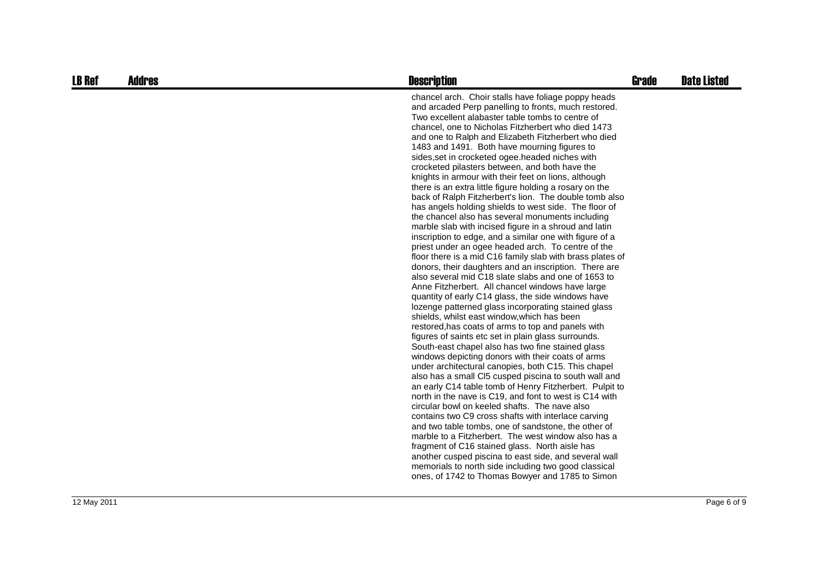| <b>LB Ref</b> | Addres | <b>Description</b>                                                                                                                                                                                                                                                                                                                                                                                                                                                                                                                                                                                                                                                                                                                                                                                                                                                                                                                                                                                                                                                                                                                                                                                                                                                                                                                                                                                                                                                                                                                                                                                                                                                                                                                                                                                                                                                      | <b>Grade</b> | <b>Date Listed</b> |
|---------------|--------|-------------------------------------------------------------------------------------------------------------------------------------------------------------------------------------------------------------------------------------------------------------------------------------------------------------------------------------------------------------------------------------------------------------------------------------------------------------------------------------------------------------------------------------------------------------------------------------------------------------------------------------------------------------------------------------------------------------------------------------------------------------------------------------------------------------------------------------------------------------------------------------------------------------------------------------------------------------------------------------------------------------------------------------------------------------------------------------------------------------------------------------------------------------------------------------------------------------------------------------------------------------------------------------------------------------------------------------------------------------------------------------------------------------------------------------------------------------------------------------------------------------------------------------------------------------------------------------------------------------------------------------------------------------------------------------------------------------------------------------------------------------------------------------------------------------------------------------------------------------------------|--------------|--------------------|
|               |        | chancel arch. Choir stalls have foliage poppy heads<br>and arcaded Perp panelling to fronts, much restored.<br>Two excellent alabaster table tombs to centre of<br>chancel, one to Nicholas Fitzherbert who died 1473<br>and one to Ralph and Elizabeth Fitzherbert who died<br>1483 and 1491. Both have mourning figures to<br>sides, set in crocketed ogee. headed niches with<br>crocketed pilasters between, and both have the<br>knights in armour with their feet on lions, although<br>there is an extra little figure holding a rosary on the<br>back of Ralph Fitzherbert's lion. The double tomb also<br>has angels holding shields to west side. The floor of<br>the chancel also has several monuments including<br>marble slab with incised figure in a shroud and latin<br>inscription to edge, and a similar one with figure of a<br>priest under an ogee headed arch. To centre of the<br>floor there is a mid C16 family slab with brass plates of<br>donors, their daughters and an inscription. There are<br>also several mid C18 slate slabs and one of 1653 to<br>Anne Fitzherbert. All chancel windows have large<br>quantity of early C14 glass, the side windows have<br>lozenge patterned glass incorporating stained glass<br>shields, whilst east window, which has been<br>restored, has coats of arms to top and panels with<br>figures of saints etc set in plain glass surrounds.<br>South-east chapel also has two fine stained glass<br>windows depicting donors with their coats of arms<br>under architectural canopies, both C15. This chapel<br>also has a small CI5 cusped piscina to south wall and<br>an early C14 table tomb of Henry Fitzherbert. Pulpit to<br>north in the nave is C19, and font to west is C14 with<br>circular bowl on keeled shafts. The nave also<br>contains two C9 cross shafts with interlace carving |              |                    |
|               |        | and two table tombs, one of sandstone, the other of<br>marble to a Fitzherbert. The west window also has a                                                                                                                                                                                                                                                                                                                                                                                                                                                                                                                                                                                                                                                                                                                                                                                                                                                                                                                                                                                                                                                                                                                                                                                                                                                                                                                                                                                                                                                                                                                                                                                                                                                                                                                                                              |              |                    |
|               |        | fragment of C16 stained glass. North aisle has                                                                                                                                                                                                                                                                                                                                                                                                                                                                                                                                                                                                                                                                                                                                                                                                                                                                                                                                                                                                                                                                                                                                                                                                                                                                                                                                                                                                                                                                                                                                                                                                                                                                                                                                                                                                                          |              |                    |
|               |        | another cusped piscina to east side, and several wall                                                                                                                                                                                                                                                                                                                                                                                                                                                                                                                                                                                                                                                                                                                                                                                                                                                                                                                                                                                                                                                                                                                                                                                                                                                                                                                                                                                                                                                                                                                                                                                                                                                                                                                                                                                                                   |              |                    |
|               |        | memorials to north side including two good classical                                                                                                                                                                                                                                                                                                                                                                                                                                                                                                                                                                                                                                                                                                                                                                                                                                                                                                                                                                                                                                                                                                                                                                                                                                                                                                                                                                                                                                                                                                                                                                                                                                                                                                                                                                                                                    |              |                    |
|               |        | ones, of 1742 to Thomas Bowyer and 1785 to Simon                                                                                                                                                                                                                                                                                                                                                                                                                                                                                                                                                                                                                                                                                                                                                                                                                                                                                                                                                                                                                                                                                                                                                                                                                                                                                                                                                                                                                                                                                                                                                                                                                                                                                                                                                                                                                        |              |                    |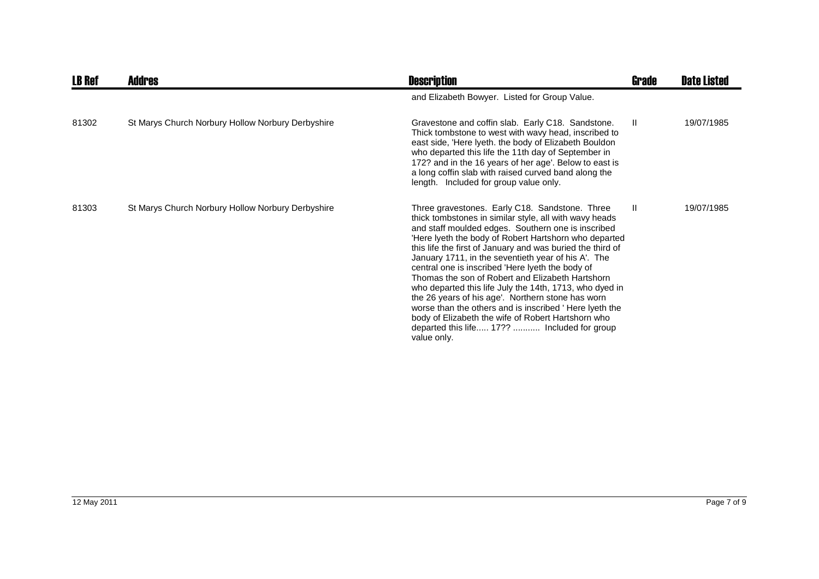| <b>LB Ref</b> | Addres                                            | <b>Description</b>                                                                                                                                                                                                                                                                                                                                                                                                                                                                                                                                                                                                                                                                                                                                | Grade        | <b>Date Listed</b> |
|---------------|---------------------------------------------------|---------------------------------------------------------------------------------------------------------------------------------------------------------------------------------------------------------------------------------------------------------------------------------------------------------------------------------------------------------------------------------------------------------------------------------------------------------------------------------------------------------------------------------------------------------------------------------------------------------------------------------------------------------------------------------------------------------------------------------------------------|--------------|--------------------|
|               |                                                   | and Elizabeth Bowyer. Listed for Group Value.                                                                                                                                                                                                                                                                                                                                                                                                                                                                                                                                                                                                                                                                                                     |              |                    |
| 81302         | St Marys Church Norbury Hollow Norbury Derbyshire | Gravestone and coffin slab. Early C18. Sandstone.<br>Thick tombstone to west with wavy head, inscribed to<br>east side, 'Here lyeth. the body of Elizabeth Bouldon<br>who departed this life the 11th day of September in<br>172? and in the 16 years of her age'. Below to east is<br>a long coffin slab with raised curved band along the<br>length. Included for group value only.                                                                                                                                                                                                                                                                                                                                                             | $\mathbf{H}$ | 19/07/1985         |
| 81303         | St Marys Church Norbury Hollow Norbury Derbyshire | Three gravestones. Early C18. Sandstone. Three<br>thick tombstones in similar style, all with wavy heads<br>and staff moulded edges. Southern one is inscribed<br>'Here lyeth the body of Robert Hartshorn who departed<br>this life the first of January and was buried the third of<br>January 1711, in the seventieth year of his A. The<br>central one is inscribed 'Here lyeth the body of<br>Thomas the son of Robert and Elizabeth Hartshorn<br>who departed this life July the 14th, 1713, who dyed in<br>the 26 years of his age'. Northern stone has worn<br>worse than the others and is inscribed 'Here lyeth the<br>body of Elizabeth the wife of Robert Hartshorn who<br>departed this life 17??  Included for group<br>value only. | Ш            | 19/07/1985         |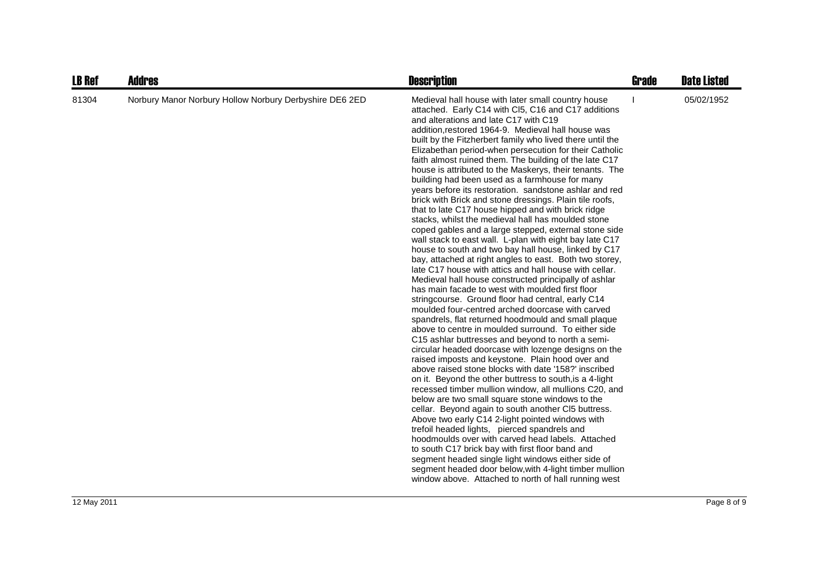| <b>LB Ref</b> | <b>Addres</b>                                           | <b>Description</b>                                                                                                                                                                                                                                                                                                                                                                                                                                                                                                                                                                                                                                                                                                                                                                                                                                                                                                                                                                                                                                                                                                                                                                                                                                                                                                                                                                                                                                                                                                                                                                                                                                                                                                                                                                                                                                                                                                                                                                                                                                                                                                                                                                                                       | Grade | <b>Date Listed</b> |
|---------------|---------------------------------------------------------|--------------------------------------------------------------------------------------------------------------------------------------------------------------------------------------------------------------------------------------------------------------------------------------------------------------------------------------------------------------------------------------------------------------------------------------------------------------------------------------------------------------------------------------------------------------------------------------------------------------------------------------------------------------------------------------------------------------------------------------------------------------------------------------------------------------------------------------------------------------------------------------------------------------------------------------------------------------------------------------------------------------------------------------------------------------------------------------------------------------------------------------------------------------------------------------------------------------------------------------------------------------------------------------------------------------------------------------------------------------------------------------------------------------------------------------------------------------------------------------------------------------------------------------------------------------------------------------------------------------------------------------------------------------------------------------------------------------------------------------------------------------------------------------------------------------------------------------------------------------------------------------------------------------------------------------------------------------------------------------------------------------------------------------------------------------------------------------------------------------------------------------------------------------------------------------------------------------------------|-------|--------------------|
| 81304         | Norbury Manor Norbury Hollow Norbury Derbyshire DE6 2ED | Medieval hall house with later small country house<br>attached. Early C14 with Cl5, C16 and C17 additions<br>and alterations and late C17 with C19<br>addition, restored 1964-9. Medieval hall house was<br>built by the Fitzherbert family who lived there until the<br>Elizabethan period-when persecution for their Catholic<br>faith almost ruined them. The building of the late C17<br>house is attributed to the Maskerys, their tenants. The<br>building had been used as a farmhouse for many<br>years before its restoration. sandstone ashlar and red<br>brick with Brick and stone dressings. Plain tile roofs,<br>that to late C17 house hipped and with brick ridge<br>stacks, whilst the medieval hall has moulded stone<br>coped gables and a large stepped, external stone side<br>wall stack to east wall. L-plan with eight bay late C17<br>house to south and two bay hall house, linked by C17<br>bay, attached at right angles to east. Both two storey,<br>late C17 house with attics and hall house with cellar.<br>Medieval hall house constructed principally of ashlar<br>has main facade to west with moulded first floor<br>stringcourse. Ground floor had central, early C14<br>moulded four-centred arched doorcase with carved<br>spandrels, flat returned hoodmould and small plaque<br>above to centre in moulded surround. To either side<br>C15 ashlar buttresses and beyond to north a semi-<br>circular headed doorcase with lozenge designs on the<br>raised imposts and keystone. Plain hood over and<br>above raised stone blocks with date '158?' inscribed<br>on it. Beyond the other buttress to south, is a 4-light<br>recessed timber mullion window, all mullions C20, and<br>below are two small square stone windows to the<br>cellar. Beyond again to south another CI5 buttress.<br>Above two early C14 2-light pointed windows with<br>trefoil headed lights, pierced spandrels and<br>hoodmoulds over with carved head labels. Attached<br>to south C17 brick bay with first floor band and<br>segment headed single light windows either side of<br>segment headed door below, with 4-light timber mullion<br>window above. Attached to north of hall running west |       | 05/02/1952         |